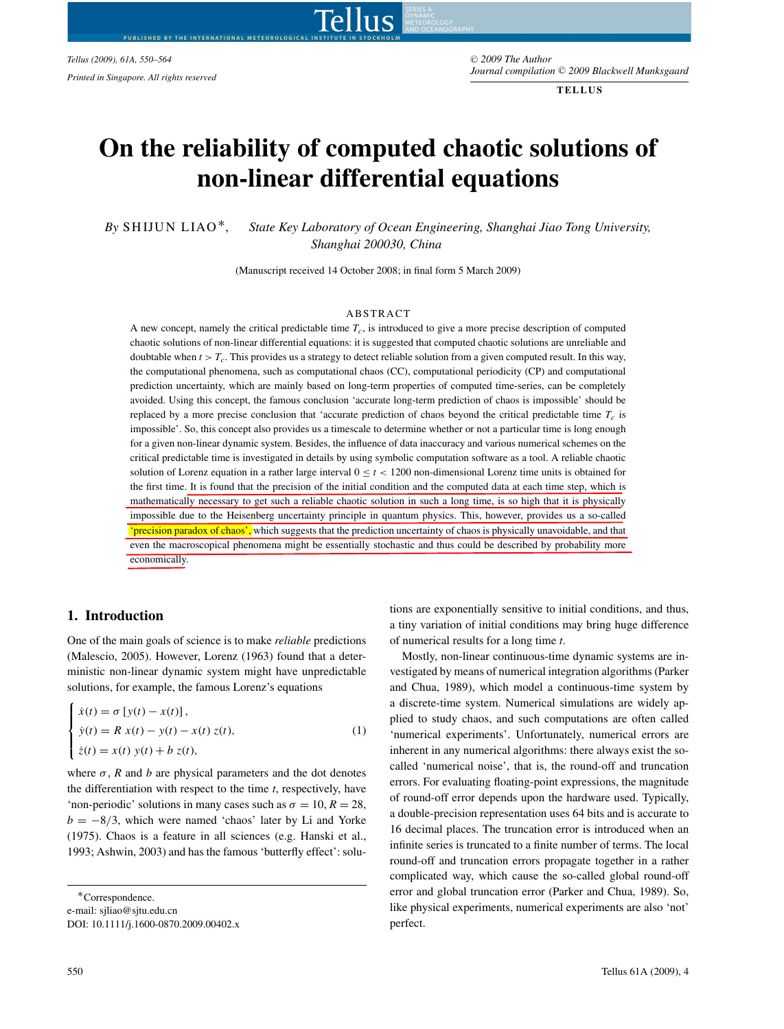*Tellus (2009), 61A, 550–564* -

Tellus AND OCEANOGRAPHY**PUBLISHED BY THE INTERNATIONAL METEOROLOGICAL INSTITUTE IN STOCKHOLM**

<sup>C</sup> *2009 The Author Journal compilation* -<sup>C</sup> *2009 Blackwell Munksgaard Printed in Singapore. All rights reserved*

**TELLUS**

# **On the reliability of computed chaotic solutions of non-linear differential equations**

*By* SHIJUN LIAO∗, *State Key Laboratory of Ocean Engineering, Shanghai Jiao Tong University, Shanghai 200030, China*

(Manuscript received 14 October 2008; in final form 5 March 2009)

#### **ABSTRACT**

A new concept, namely the critical predictable time *Tc*, is introduced to give a more precise description of computed chaotic solutions of non-linear differential equations: it is suggested that computed chaotic solutions are unreliable and doubtable when  $t > T_c$ . This provides us a strategy to detect reliable solution from a given computed result. In this way, the computational phenomena, such as computational chaos (CC), computational periodicity (CP) and computational prediction uncertainty, which are mainly based on long-term properties of computed time-series, can be completely avoided. Using this concept, the famous conclusion 'accurate long-term prediction of chaos is impossible' should be replaced by a more precise conclusion that 'accurate prediction of chaos beyond the critical predictable time  $T_c$  is impossible'. So, this concept also provides us a timescale to determine whether or not a particular time is long enough for a given non-linear dynamic system. Besides, the influence of data inaccuracy and various numerical schemes on the critical predictable time is investigated in details by using symbolic computation software as a tool. A reliable chaotic solution of Lorenz equation in a rather large interval  $0 \le t < 1200$  non-dimensional Lorenz time units is obtained for the first time. It is found that the precision of the initial condition and the computed data at each time step, which is mathematically necessary to get such a reliable chaotic solution in such a long time, is so high that it is physically impossible due to the Heisenberg uncertainty principle in quantum physics. This, however, provides us a so-called 'precision paradox of chaos', which suggests that the prediction uncertainty of chaos is physically unavoidable, and that even the macroscopical phenomena might be essentially stochastic and thus could be described by probability more economically.

## **1. Introduction**

One of the main goals of science is to make *reliable* predictions (Malescio, 2005). However, Lorenz (1963) found that a deterministic non-linear dynamic system might have unpredictable solutions, for example, the famous Lorenz's equations

$$
\begin{cases}\n\dot{x}(t) = \sigma [y(t) - x(t)], \\
\dot{y}(t) = R x(t) - y(t) - x(t) z(t), \\
\dot{z}(t) = x(t) y(t) + b z(t),\n\end{cases}
$$
\n(1)

where  $\sigma$ , *R* and *b* are physical parameters and the dot denotes the differentiation with respect to the time *t*, respectively, have 'non-periodic' solutions in many cases such as  $\sigma = 10$ ,  $R = 28$ ,  $b = -8/3$ , which were named 'chaos' later by Li and Yorke (1975). Chaos is a feature in all sciences (e.g. Hanski et al., 1993; Ashwin, 2003) and has the famous 'butterfly effect': solu-

∗Correspondence. e-mail: sjliao@sjtu.edu.cn DOI: 10.1111/j.1600-0870.2009.00402.x tions are exponentially sensitive to initial conditions, and thus, a tiny variation of initial conditions may bring huge difference of numerical results for a long time *t*.

Mostly, non-linear continuous-time dynamic systems are investigated by means of numerical integration algorithms (Parker and Chua, 1989), which model a continuous-time system by a discrete-time system. Numerical simulations are widely applied to study chaos, and such computations are often called 'numerical experiments'. Unfortunately, numerical errors are inherent in any numerical algorithms: there always exist the socalled 'numerical noise', that is, the round-off and truncation errors. For evaluating floating-point expressions, the magnitude of round-off error depends upon the hardware used. Typically, a double-precision representation uses 64 bits and is accurate to 16 decimal places. The truncation error is introduced when an infinite series is truncated to a finite number of terms. The local round-off and truncation errors propagate together in a rather complicated way, which cause the so-called global round-off error and global truncation error (Parker and Chua, 1989). So, like physical experiments, numerical experiments are also 'not' perfect.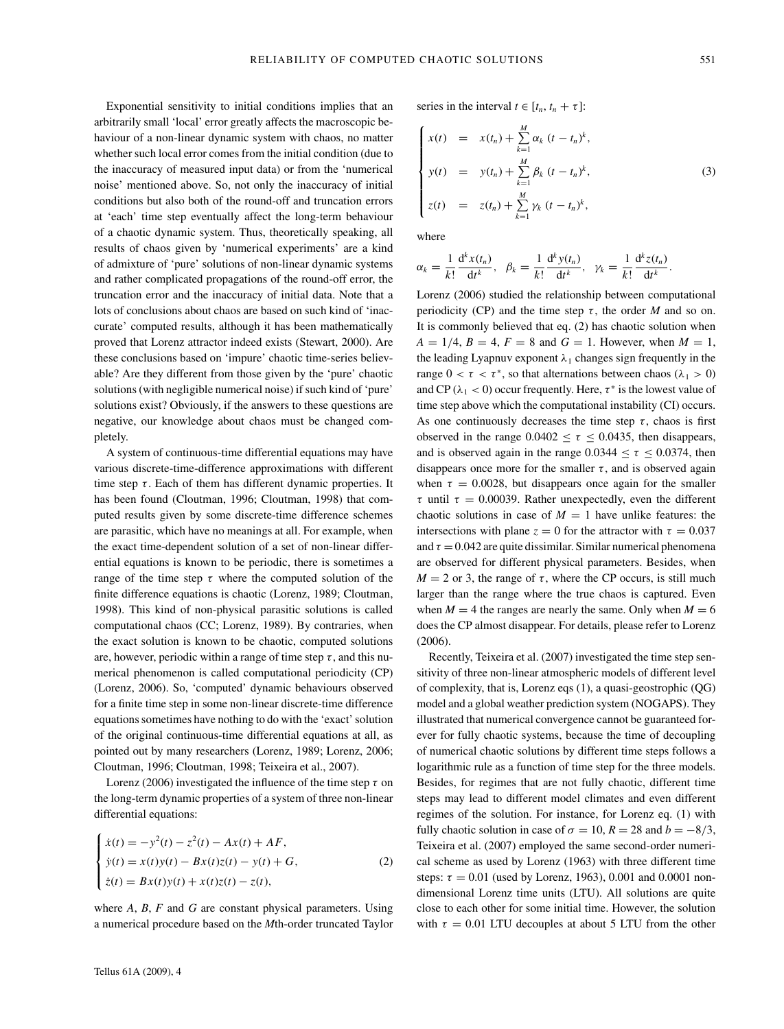Exponential sensitivity to initial conditions implies that an arbitrarily small 'local' error greatly affects the macroscopic behaviour of a non-linear dynamic system with chaos, no matter whether such local error comes from the initial condition (due to the inaccuracy of measured input data) or from the 'numerical noise' mentioned above. So, not only the inaccuracy of initial conditions but also both of the round-off and truncation errors at 'each' time step eventually affect the long-term behaviour of a chaotic dynamic system. Thus, theoretically speaking, all results of chaos given by 'numerical experiments' are a kind of admixture of 'pure' solutions of non-linear dynamic systems and rather complicated propagations of the round-off error, the truncation error and the inaccuracy of initial data. Note that a lots of conclusions about chaos are based on such kind of 'inaccurate' computed results, although it has been mathematically proved that Lorenz attractor indeed exists (Stewart, 2000). Are these conclusions based on 'impure' chaotic time-series believable? Are they different from those given by the 'pure' chaotic solutions (with negligible numerical noise) if such kind of 'pure' solutions exist? Obviously, if the answers to these questions are negative, our knowledge about chaos must be changed completely.

A system of continuous-time differential equations may have various discrete-time-difference approximations with different time step  $\tau$ . Each of them has different dynamic properties. It has been found (Cloutman, 1996; Cloutman, 1998) that computed results given by some discrete-time difference schemes are parasitic, which have no meanings at all. For example, when the exact time-dependent solution of a set of non-linear differential equations is known to be periodic, there is sometimes a range of the time step  $\tau$  where the computed solution of the finite difference equations is chaotic (Lorenz, 1989; Cloutman, 1998). This kind of non-physical parasitic solutions is called computational chaos (CC; Lorenz, 1989). By contraries, when the exact solution is known to be chaotic, computed solutions are, however, periodic within a range of time step  $\tau$ , and this numerical phenomenon is called computational periodicity (CP) (Lorenz, 2006). So, 'computed' dynamic behaviours observed for a finite time step in some non-linear discrete-time difference equations sometimes have nothing to do with the 'exact' solution of the original continuous-time differential equations at all, as pointed out by many researchers (Lorenz, 1989; Lorenz, 2006; Cloutman, 1996; Cloutman, 1998; Teixeira et al., 2007).

Lorenz (2006) investigated the influence of the time step *τ* on the long-term dynamic properties of a system of three non-linear differential equations:

$$
\begin{cases}\n\dot{x}(t) = -y^2(t) - z^2(t) - Ax(t) + AF, \\
\dot{y}(t) = x(t)y(t) - Bx(t)z(t) - y(t) + G, \\
\dot{z}(t) = Bx(t)y(t) + x(t)z(t) - z(t),\n\end{cases}
$$
\n(2)

where *A*, *B*, *F* and *G* are constant physical parameters. Using a numerical procedure based on the *M*th-order truncated Taylor series in the interval  $t \in [t_n, t_n + \tau]$ :

$$
\begin{cases}\n x(t) = x(t_n) + \sum_{k=1}^{M} \alpha_k (t - t_n)^k, \\
 y(t) = y(t_n) + \sum_{k=1}^{M} \beta_k (t - t_n)^k, \\
 z(t) = z(t_n) + \sum_{k=1}^{M} \gamma_k (t - t_n)^k,\n\end{cases}
$$
\n(3)

where

$$
\alpha_k = \frac{1}{k!} \frac{\mathrm{d}^k x(t_n)}{\mathrm{d}t^k}, \quad \beta_k = \frac{1}{k!} \frac{\mathrm{d}^k y(t_n)}{\mathrm{d}t^k}, \quad \gamma_k = \frac{1}{k!} \frac{\mathrm{d}^k z(t_n)}{\mathrm{d}t^k}.
$$

Lorenz (2006) studied the relationship between computational periodicity (CP) and the time step  $\tau$ , the order *M* and so on. It is commonly believed that eq. (2) has chaotic solution when  $A = 1/4, B = 4, F = 8$  and  $G = 1$ . However, when  $M = 1$ , the leading Lyapnuv exponent  $\lambda_1$  changes sign frequently in the range  $0 < \tau < \tau^*$ , so that alternations between chaos ( $\lambda_1 > 0$ ) and CP ( $\lambda_1$  < 0) occur frequently. Here,  $\tau^*$  is the lowest value of time step above which the computational instability (CI) occurs. As one continuously decreases the time step  $\tau$ , chaos is first observed in the range  $0.0402 \le \tau \le 0.0435$ , then disappears, and is observed again in the range  $0.0344 < \tau < 0.0374$ , then disappears once more for the smaller  $\tau$ , and is observed again when  $\tau = 0.0028$ , but disappears once again for the smaller *τ* until  $τ = 0.00039$ . Rather unexpectedly, even the different chaotic solutions in case of  $M = 1$  have unlike features: the intersections with plane  $z = 0$  for the attractor with  $\tau = 0.037$ and  $\tau = 0.042$  are quite dissimilar. Similar numerical phenomena are observed for different physical parameters. Besides, when  $M = 2$  or 3, the range of  $\tau$ , where the CP occurs, is still much larger than the range where the true chaos is captured. Even when  $M = 4$  the ranges are nearly the same. Only when  $M = 6$ does the CP almost disappear. For details, please refer to Lorenz (2006).

Recently, Teixeira et al. (2007) investigated the time step sensitivity of three non-linear atmospheric models of different level of complexity, that is, Lorenz eqs (1), a quasi-geostrophic (QG) model and a global weather prediction system (NOGAPS). They illustrated that numerical convergence cannot be guaranteed forever for fully chaotic systems, because the time of decoupling of numerical chaotic solutions by different time steps follows a logarithmic rule as a function of time step for the three models. Besides, for regimes that are not fully chaotic, different time steps may lead to different model climates and even different regimes of the solution. For instance, for Lorenz eq. (1) with fully chaotic solution in case of  $\sigma = 10$ ,  $R = 28$  and  $b = -8/3$ , Teixeira et al. (2007) employed the same second-order numerical scheme as used by Lorenz (1963) with three different time steps:  $\tau = 0.01$  (used by Lorenz, 1963), 0.001 and 0.0001 nondimensional Lorenz time units (LTU). All solutions are quite close to each other for some initial time. However, the solution with  $\tau = 0.01$  LTU decouples at about 5 LTU from the other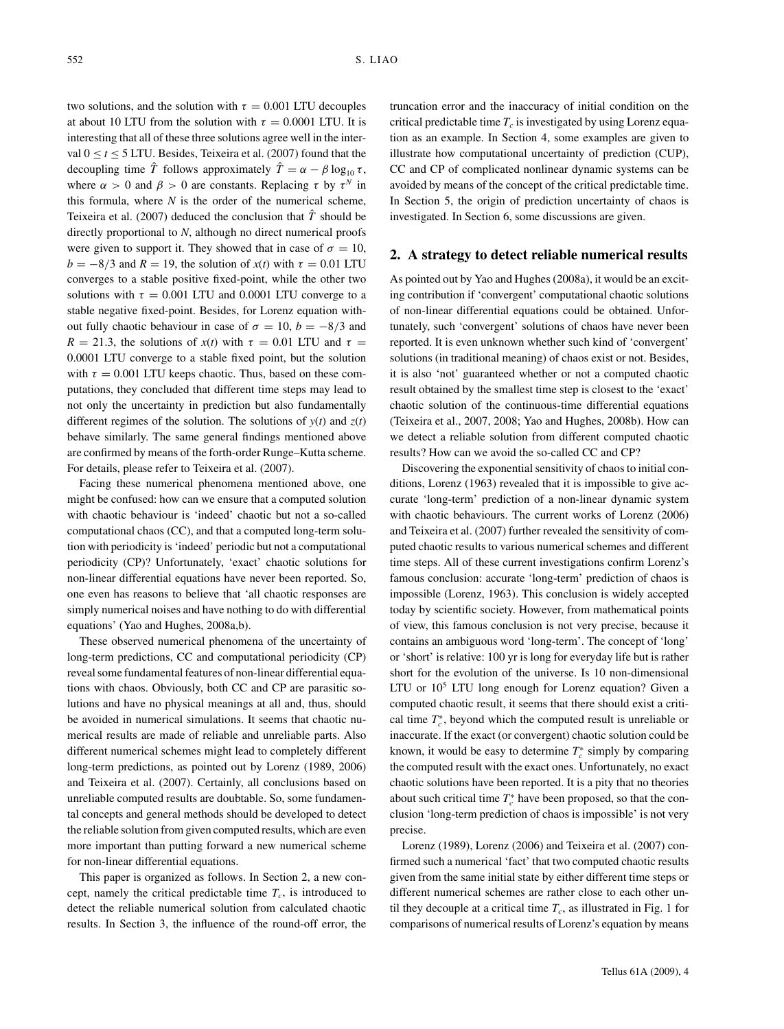two solutions, and the solution with  $\tau = 0.001$  LTU decouples at about 10 LTU from the solution with  $\tau = 0.0001$  LTU. It is interesting that all of these three solutions agree well in the interval  $0 < t < 5$  LTU. Besides, Teixeira et al. (2007) found that the decoupling time  $\hat{T}$  follows approximately  $\hat{T} = \alpha - \beta \log_{10} \tau$ , where  $\alpha > 0$  and  $\beta > 0$  are constants. Replacing  $\tau$  by  $\tau^N$  in this formula, where  $N$  is the order of the numerical scheme, Teixeira et al. (2007) deduced the conclusion that  $\hat{T}$  should be directly proportional to *N*, although no direct numerical proofs were given to support it. They showed that in case of  $\sigma = 10$ ,  $b = -8/3$  and  $R = 19$ , the solution of  $x(t)$  with  $\tau = 0.01$  LTU converges to a stable positive fixed-point, while the other two solutions with  $\tau = 0.001$  LTU and 0.0001 LTU converge to a stable negative fixed-point. Besides, for Lorenz equation without fully chaotic behaviour in case of  $\sigma = 10$ ,  $b = -8/3$  and  $R = 21.3$ , the solutions of  $x(t)$  with  $\tau = 0.01$  LTU and  $\tau =$ 0.0001 LTU converge to a stable fixed point, but the solution with  $\tau = 0.001$  LTU keeps chaotic. Thus, based on these computations, they concluded that different time steps may lead to not only the uncertainty in prediction but also fundamentally different regimes of the solution. The solutions of  $y(t)$  and  $z(t)$ behave similarly. The same general findings mentioned above are confirmed by means of the forth-order Runge–Kutta scheme. For details, please refer to Teixeira et al. (2007).

Facing these numerical phenomena mentioned above, one might be confused: how can we ensure that a computed solution with chaotic behaviour is 'indeed' chaotic but not a so-called computational chaos (CC), and that a computed long-term solution with periodicity is 'indeed' periodic but not a computational periodicity (CP)? Unfortunately, 'exact' chaotic solutions for non-linear differential equations have never been reported. So, one even has reasons to believe that 'all chaotic responses are simply numerical noises and have nothing to do with differential equations' (Yao and Hughes, 2008a,b).

These observed numerical phenomena of the uncertainty of long-term predictions, CC and computational periodicity (CP) reveal some fundamental features of non-linear differential equations with chaos. Obviously, both CC and CP are parasitic solutions and have no physical meanings at all and, thus, should be avoided in numerical simulations. It seems that chaotic numerical results are made of reliable and unreliable parts. Also different numerical schemes might lead to completely different long-term predictions, as pointed out by Lorenz (1989, 2006) and Teixeira et al. (2007). Certainly, all conclusions based on unreliable computed results are doubtable. So, some fundamental concepts and general methods should be developed to detect the reliable solution from given computed results, which are even more important than putting forward a new numerical scheme for non-linear differential equations.

This paper is organized as follows. In Section 2, a new concept, namely the critical predictable time  $T_c$ , is introduced to detect the reliable numerical solution from calculated chaotic results. In Section 3, the influence of the round-off error, the truncation error and the inaccuracy of initial condition on the critical predictable time  $T_c$  is investigated by using Lorenz equation as an example. In Section 4, some examples are given to illustrate how computational uncertainty of prediction (CUP), CC and CP of complicated nonlinear dynamic systems can be avoided by means of the concept of the critical predictable time. In Section 5, the origin of prediction uncertainty of chaos is investigated. In Section 6, some discussions are given.

## **2. A strategy to detect reliable numerical results**

As pointed out by Yao and Hughes (2008a), it would be an exciting contribution if 'convergent' computational chaotic solutions of non-linear differential equations could be obtained. Unfortunately, such 'convergent' solutions of chaos have never been reported. It is even unknown whether such kind of 'convergent' solutions (in traditional meaning) of chaos exist or not. Besides, it is also 'not' guaranteed whether or not a computed chaotic result obtained by the smallest time step is closest to the 'exact' chaotic solution of the continuous-time differential equations (Teixeira et al., 2007, 2008; Yao and Hughes, 2008b). How can we detect a reliable solution from different computed chaotic results? How can we avoid the so-called CC and CP?

Discovering the exponential sensitivity of chaos to initial conditions, Lorenz (1963) revealed that it is impossible to give accurate 'long-term' prediction of a non-linear dynamic system with chaotic behaviours. The current works of Lorenz (2006) and Teixeira et al. (2007) further revealed the sensitivity of computed chaotic results to various numerical schemes and different time steps. All of these current investigations confirm Lorenz's famous conclusion: accurate 'long-term' prediction of chaos is impossible (Lorenz, 1963). This conclusion is widely accepted today by scientific society. However, from mathematical points of view, this famous conclusion is not very precise, because it contains an ambiguous word 'long-term'. The concept of 'long' or 'short' is relative: 100 yr is long for everyday life but is rather short for the evolution of the universe. Is 10 non-dimensional LTU or  $10^5$  LTU long enough for Lorenz equation? Given a computed chaotic result, it seems that there should exist a critical time  $T_c^*$ , beyond which the computed result is unreliable or inaccurate. If the exact (or convergent) chaotic solution could be known, it would be easy to determine  $T_c^*$  simply by comparing the computed result with the exact ones. Unfortunately, no exact chaotic solutions have been reported. It is a pity that no theories about such critical time  $T_c^*$  have been proposed, so that the conclusion 'long-term prediction of chaos is impossible' is not very precise.

Lorenz (1989), Lorenz (2006) and Teixeira et al. (2007) confirmed such a numerical 'fact' that two computed chaotic results given from the same initial state by either different time steps or different numerical schemes are rather close to each other until they decouple at a critical time  $T_c$ , as illustrated in Fig. 1 for comparisons of numerical results of Lorenz's equation by means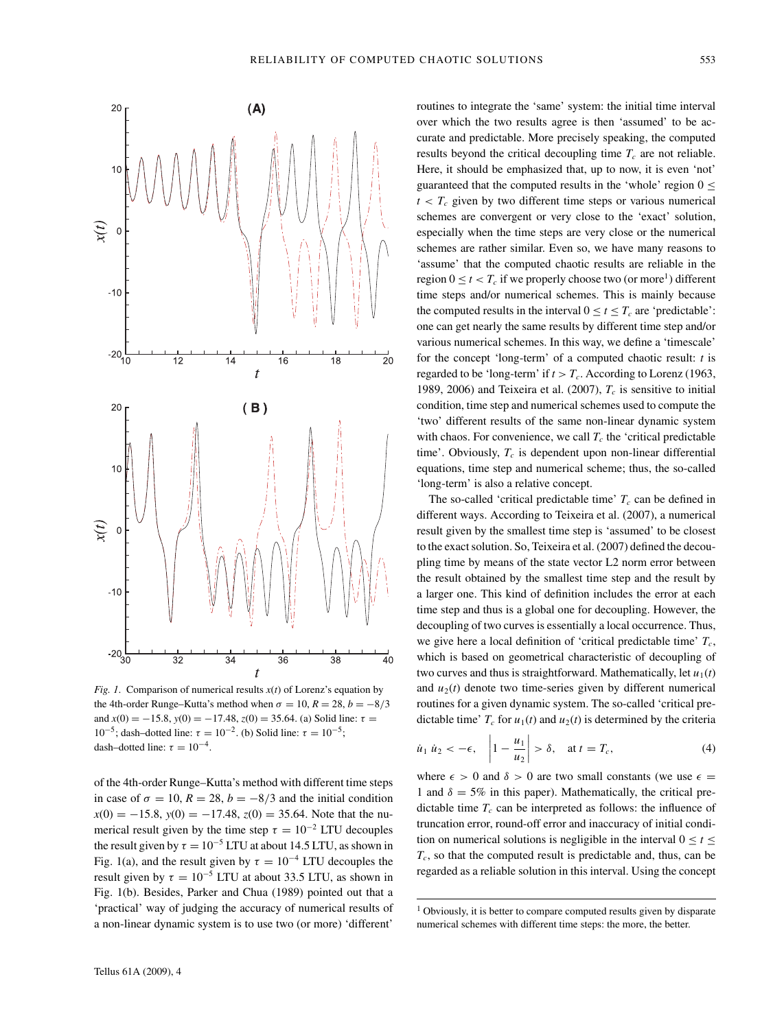



*Fig. 1.* Comparison of numerical results  $x(t)$  of Lorenz's equation by the 4th-order Runge–Kutta's method when  $\sigma = 10$ ,  $R = 28$ ,  $b = -8/3$ and  $x(0) = -15.8$ ,  $y(0) = -17.48$ ,  $z(0) = 35.64$ . (a) Solid line:  $\tau =$ 10<sup>-5</sup>; dash–dotted line:  $\tau = 10^{-2}$ . (b) Solid line:  $\tau = 10^{-5}$ ; dash–dotted line:  $\tau = 10^{-4}$ .

of the 4th-order Runge–Kutta's method with different time steps in case of  $\sigma = 10$ ,  $R = 28$ ,  $b = -8/3$  and the initial condition  $x(0) = -15.8$ ,  $y(0) = -17.48$ ,  $z(0) = 35.64$ . Note that the numerical result given by the time step  $\tau = 10^{-2}$  LTU decouples the result given by  $\tau = 10^{-5}$  LTU at about 14.5 LTU, as shown in Fig. 1(a), and the result given by  $\tau = 10^{-4}$  LTU decouples the result given by  $\tau = 10^{-5}$  LTU at about 33.5 LTU, as shown in Fig. 1(b). Besides, Parker and Chua (1989) pointed out that a 'practical' way of judging the accuracy of numerical results of a non-linear dynamic system is to use two (or more) 'different'

routines to integrate the 'same' system: the initial time interval over which the two results agree is then 'assumed' to be accurate and predictable. More precisely speaking, the computed results beyond the critical decoupling time  $T_c$  are not reliable. Here, it should be emphasized that, up to now, it is even 'not' guaranteed that the computed results in the 'whole' region  $0 \le$  $t < T_c$  given by two different time steps or various numerical schemes are convergent or very close to the 'exact' solution, especially when the time steps are very close or the numerical schemes are rather similar. Even so, we have many reasons to 'assume' that the computed chaotic results are reliable in the region  $0 \le t \le T_c$  if we properly choose two (or more<sup>1</sup>) different time steps and/or numerical schemes. This is mainly because the computed results in the interval  $0 \le t \le T_c$  are 'predictable': one can get nearly the same results by different time step and/or various numerical schemes. In this way, we define a 'timescale' for the concept 'long-term' of a computed chaotic result: *t* is regarded to be 'long-term' if  $t > T_c$ . According to Lorenz (1963, 1989, 2006) and Teixeira et al.  $(2007)$ ,  $T_c$  is sensitive to initial condition, time step and numerical schemes used to compute the 'two' different results of the same non-linear dynamic system with chaos. For convenience, we call  $T_c$  the 'critical predictable time'. Obviously,  $T_c$  is dependent upon non-linear differential equations, time step and numerical scheme; thus, the so-called 'long-term' is also a relative concept.

The so-called 'critical predictable time'  $T_c$  can be defined in different ways. According to Teixeira et al. (2007), a numerical result given by the smallest time step is 'assumed' to be closest to the exact solution. So, Teixeira et al. (2007) defined the decoupling time by means of the state vector L2 norm error between the result obtained by the smallest time step and the result by a larger one. This kind of definition includes the error at each time step and thus is a global one for decoupling. However, the decoupling of two curves is essentially a local occurrence. Thus, we give here a local definition of 'critical predictable time'  $T_c$ , which is based on geometrical characteristic of decoupling of two curves and thus is straightforward. Mathematically, let  $u_1(t)$ and  $u_2(t)$  denote two time-series given by different numerical routines for a given dynamic system. The so-called 'critical predictable time'  $T_c$  for  $u_1(t)$  and  $u_2(t)$  is determined by the criteria

$$
\dot{u}_1 \, \dot{u}_2 < -\epsilon, \quad \left| 1 - \frac{u_1}{u_2} \right| > \delta, \quad \text{at } t = T_c,\tag{4}
$$

where  $\epsilon > 0$  and  $\delta > 0$  are two small constants (we use  $\epsilon =$ 1 and  $\delta = 5\%$  in this paper). Mathematically, the critical predictable time  $T_c$  can be interpreted as follows: the influence of truncation error, round-off error and inaccuracy of initial condition on numerical solutions is negligible in the interval  $0 \le t \le$ *Tc*, so that the computed result is predictable and, thus, can be regarded as a reliable solution in this interval. Using the concept

<sup>&</sup>lt;sup>1</sup> Obviously, it is better to compare computed results given by disparate numerical schemes with different time steps: the more, the better.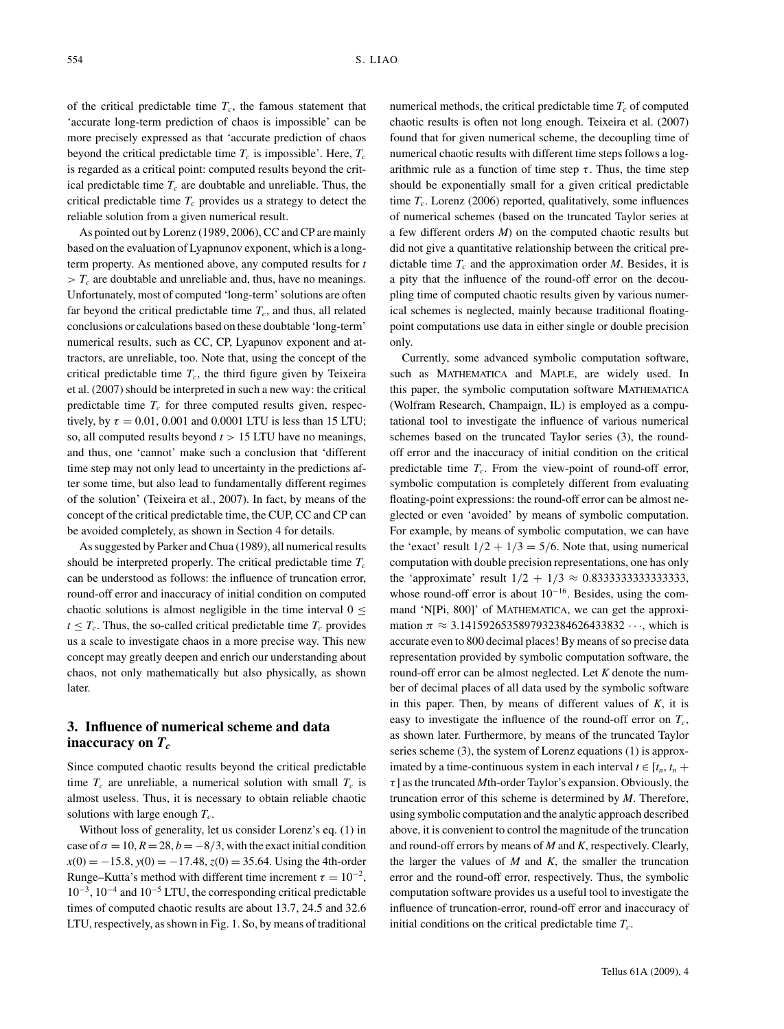of the critical predictable time  $T_c$ , the famous statement that 'accurate long-term prediction of chaos is impossible' can be more precisely expressed as that 'accurate prediction of chaos beyond the critical predictable time  $T_c$  is impossible'. Here,  $T_c$ is regarded as a critical point: computed results beyond the critical predictable time  $T_c$  are doubtable and unreliable. Thus, the critical predictable time  $T_c$  provides us a strategy to detect the reliable solution from a given numerical result.

As pointed out by Lorenz (1989, 2006), CC and CP are mainly based on the evaluation of Lyapnunov exponent, which is a longterm property. As mentioned above, any computed results for *t*  $> T_c$  are doubtable and unreliable and, thus, have no meanings. Unfortunately, most of computed 'long-term' solutions are often far beyond the critical predictable time  $T_c$ , and thus, all related conclusions or calculations based on these doubtable 'long-term' numerical results, such as CC, CP, Lyapunov exponent and attractors, are unreliable, too. Note that, using the concept of the critical predictable time  $T_c$ , the third figure given by Teixeira et al. (2007) should be interpreted in such a new way: the critical predictable time  $T_c$  for three computed results given, respectively, by  $\tau = 0.01$ , 0.001 and 0.0001 LTU is less than 15 LTU; so, all computed results beyond *t >* 15 LTU have no meanings, and thus, one 'cannot' make such a conclusion that 'different time step may not only lead to uncertainty in the predictions after some time, but also lead to fundamentally different regimes of the solution' (Teixeira et al., 2007). In fact, by means of the concept of the critical predictable time, the CUP, CC and CP can be avoided completely, as shown in Section 4 for details.

As suggested by Parker and Chua (1989), all numerical results should be interpreted properly. The critical predictable time  $T_c$ can be understood as follows: the influence of truncation error, round-off error and inaccuracy of initial condition on computed chaotic solutions is almost negligible in the time interval  $0 \le$  $t \leq T_c$ . Thus, the so-called critical predictable time  $T_c$  provides us a scale to investigate chaos in a more precise way. This new concept may greatly deepen and enrich our understanding about chaos, not only mathematically but also physically, as shown later.

## **3. Influence of numerical scheme and data** inaccuracy on  $T_c$

Since computed chaotic results beyond the critical predictable time  $T_c$  are unreliable, a numerical solution with small  $T_c$  is almost useless. Thus, it is necessary to obtain reliable chaotic solutions with large enough  $T_c$ .

Without loss of generality, let us consider Lorenz's eq. (1) in case of  $\sigma = 10$ ,  $R = 28$ ,  $b = -8/3$ , with the exact initial condition  $x(0) = -15.8$ ,  $y(0) = -17.48$ ,  $z(0) = 35.64$ . Using the 4th-order Runge–Kutta's method with different time increment  $\tau = 10^{-2}$ , 10−3, 10−<sup>4</sup> and 10−<sup>5</sup> LTU, the corresponding critical predictable times of computed chaotic results are about 13.7, 24.5 and 32.6 LTU, respectively, as shown in Fig. 1. So, by means of traditional

numerical methods, the critical predictable time  $T_c$  of computed chaotic results is often not long enough. Teixeira et al. (2007) found that for given numerical scheme, the decoupling time of numerical chaotic results with different time steps follows a logarithmic rule as a function of time step  $\tau$ . Thus, the time step should be exponentially small for a given critical predictable time  $T_c$ . Lorenz (2006) reported, qualitatively, some influences of numerical schemes (based on the truncated Taylor series at a few different orders *M*) on the computed chaotic results but did not give a quantitative relationship between the critical predictable time  $T_c$  and the approximation order *M*. Besides, it is a pity that the influence of the round-off error on the decoupling time of computed chaotic results given by various numerical schemes is neglected, mainly because traditional floatingpoint computations use data in either single or double precision only.

Currently, some advanced symbolic computation software, such as MATHEMATICA and MAPLE, are widely used. In this paper, the symbolic computation software MATHEMATICA (Wolfram Research, Champaign, IL) is employed as a computational tool to investigate the influence of various numerical schemes based on the truncated Taylor series (3), the roundoff error and the inaccuracy of initial condition on the critical predictable time  $T_c$ . From the view-point of round-off error, symbolic computation is completely different from evaluating floating-point expressions: the round-off error can be almost neglected or even 'avoided' by means of symbolic computation. For example, by means of symbolic computation, we can have the 'exact' result  $1/2 + 1/3 = 5/6$ . Note that, using numerical computation with double precision representations, one has only the 'approximate' result 1*/*2 + 1*/*3 ≈ 0.8333333333333333, whose round-off error is about 10−16. Besides, using the command 'N[Pi, 800]' of MATHEMATICA, we can get the approximation  $\pi \approx 3.1415926535897932384626433832 \cdots$ , which is accurate even to 800 decimal places! By means of so precise data representation provided by symbolic computation software, the round-off error can be almost neglected. Let *K* denote the number of decimal places of all data used by the symbolic software in this paper. Then, by means of different values of *K*, it is easy to investigate the influence of the round-off error on  $T_c$ , as shown later. Furthermore, by means of the truncated Taylor series scheme (3), the system of Lorenz equations (1) is approximated by a time-continuous system in each interval  $t \in [t_n, t_n +$ *τ* ] as the truncated *M*th-order Taylor's expansion. Obviously, the truncation error of this scheme is determined by *M*. Therefore, using symbolic computation and the analytic approach described above, it is convenient to control the magnitude of the truncation and round-off errors by means of *M* and *K*, respectively. Clearly, the larger the values of *M* and *K*, the smaller the truncation error and the round-off error, respectively. Thus, the symbolic computation software provides us a useful tool to investigate the influence of truncation-error, round-off error and inaccuracy of initial conditions on the critical predictable time  $T_c$ .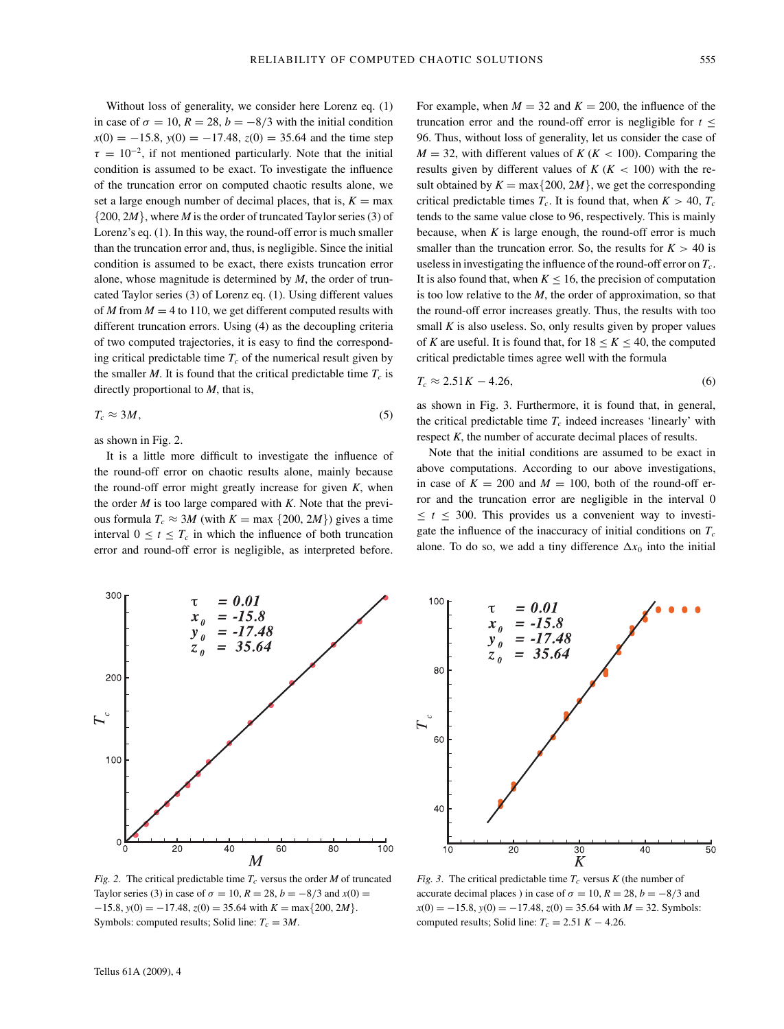100

Without loss of generality, we consider here Lorenz eq. (1) in case of  $\sigma = 10$ ,  $R = 28$ ,  $b = -8/3$  with the initial condition  $x(0) = -15.8$ ,  $y(0) = -17.48$ ,  $z(0) = 35.64$  and the time step  $\tau = 10^{-2}$ , if not mentioned particularly. Note that the initial condition is assumed to be exact. To investigate the influence of the truncation error on computed chaotic results alone, we set a large enough number of decimal places, that is,  $K = \max$ {200, 2*M*}, where *M* is the order of truncated Taylor series (3) of Lorenz's eq. (1). In this way, the round-off error is much smaller than the truncation error and, thus, is negligible. Since the initial condition is assumed to be exact, there exists truncation error alone, whose magnitude is determined by *M*, the order of truncated Taylor series (3) of Lorenz eq. (1). Using different values of *M* from  $M = 4$  to 110, we get different computed results with different truncation errors. Using (4) as the decoupling criteria of two computed trajectories, it is easy to find the corresponding critical predictable time  $T_c$  of the numerical result given by the smaller *M*. It is found that the critical predictable time  $T_c$  is directly proportional to *M*, that is,

$$
T_c \approx 3M,\tag{5}
$$

as shown in Fig. 2.

300

It is a little more difficult to investigate the influence of the round-off error on chaotic results alone, mainly because the round-off error might greatly increase for given *K*, when the order *M* is too large compared with *K*. Note that the previous formula  $T_c \approx 3M$  (with  $K = \max\{200, 2M\}$ ) gives a time interval  $0 \le t \le T_c$  in which the influence of both truncation error and round-off error is negligible, as interpreted before.

 $= 0.01$ 

For example, when  $M = 32$  and  $K = 200$ , the influence of the truncation error and the round-off error is negligible for *t* ≤ 96. Thus, without loss of generality, let us consider the case of  $M = 32$ , with different values of  $K (K < 100)$ . Comparing the results given by different values of  $K (K < 100)$  with the result obtained by  $K = \max\{200, 2M\}$ , we get the corresponding critical predictable times  $T_c$ . It is found that, when  $K > 40$ ,  $T_c$ tends to the same value close to 96, respectively. This is mainly because, when  $K$  is large enough, the round-off error is much smaller than the truncation error. So, the results for  $K > 40$  is useless in investigating the influence of the round-off error on  $T_c$ . It is also found that, when  $K \leq 16$ , the precision of computation is too low relative to the *M*, the order of approximation, so that the round-off error increases greatly. Thus, the results with too small  $K$  is also useless. So, only results given by proper values of *K* are useful. It is found that, for  $18 \le K \le 40$ , the computed critical predictable times agree well with the formula

$$
T_c \approx 2.51K - 4.26,\tag{6}
$$

as shown in Fig. 3. Furthermore, it is found that, in general, the critical predictable time  $T_c$  indeed increases 'linearly' with respect *K*, the number of accurate decimal places of results.

Note that the initial conditions are assumed to be exact in above computations. According to our above investigations, in case of  $K = 200$  and  $M = 100$ , both of the round-off error and the truncation error are negligible in the interval 0  $\leq t \leq 300$ . This provides us a convenient way to investigate the influence of the inaccuracy of initial conditions on  $T_c$ alone. To do so, we add a tiny difference  $\Delta x_0$  into the initial



 $= 0.01$  $x_a$  = -15.8  $x_0$  = -15.8<br>  $y_0$  = -17.48<br>  $z_0$  = 35.64 80 60 40  $\frac{1}{30}$  $1\overline{0}$  $\overline{20}$  $\overline{40}$  $\overline{5}0$ 

 $-15.8$ ,  $y(0) = -17.48$ ,  $z(0) = 35.64$  with  $K = \max\{200, 2M\}.$ Symbols: computed results; Solid line:  $T_c = 3M$ .

*Fig. 3.* The critical predictable time  $T_c$  versus  $K$  (the number of accurate decimal places ) in case of  $\sigma = 10$ ,  $R = 28$ ,  $b = -8/3$  and *x*(0) = −15.8, *y*(0) = −17.48, *z*(0) = 35.64 with *M* = 32. Symbols: computed results; Solid line:  $T_c = 2.51 K - 4.26$ .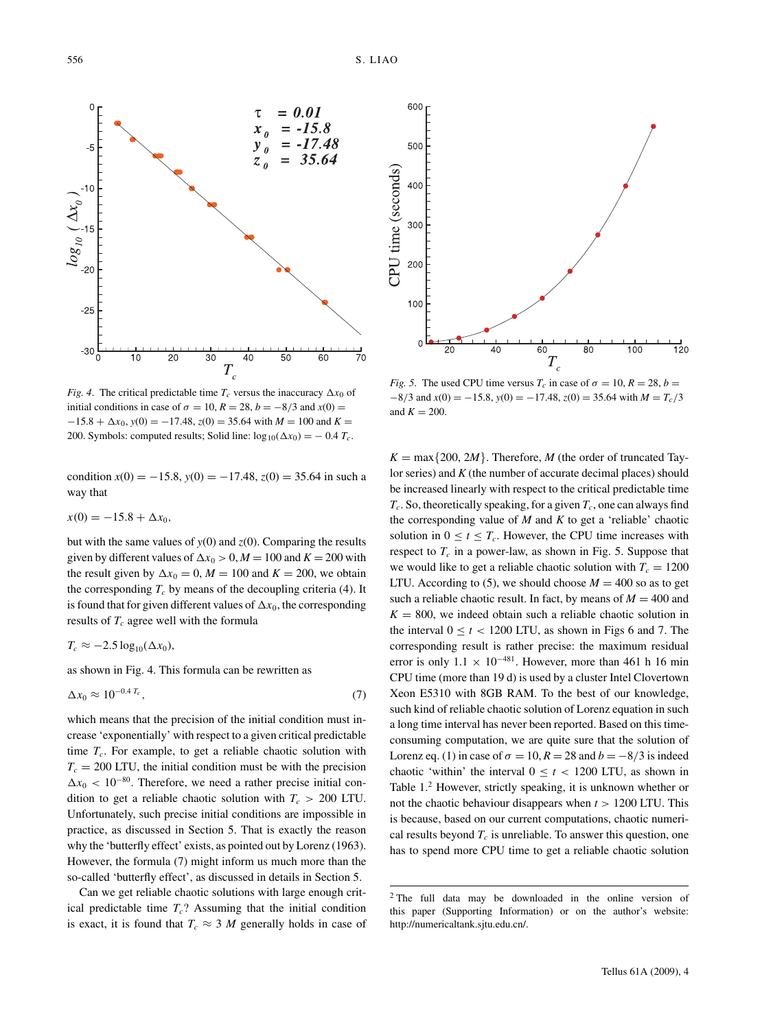

*Fig. 4.* The critical predictable time  $T_c$  versus the inaccuracy  $\Delta x_0$  of initial conditions in case of  $\sigma = 10$ ,  $R = 28$ ,  $b = -8/3$  and  $x(0) =$  $-15.8 + \Delta x_0$ ,  $y(0) = -17.48$ ,  $z(0) = 35.64$  with  $M = 100$  and  $K =$ 200. Symbols: computed results; Solid line:  $\log_{10}(\Delta x_0) = -0.4 T_c$ .

condition  $x(0) = -15.8$ ,  $y(0) = -17.48$ ,  $z(0) = 35.64$  in such a way that

$$
x(0) = -15.8 + \Delta x_0,
$$

but with the same values of  $y(0)$  and  $z(0)$ . Comparing the results given by different values of  $\Delta x_0 > 0$ ,  $M = 100$  and  $K = 200$  with the result given by  $\Delta x_0 = 0$ ,  $M = 100$  and  $K = 200$ , we obtain the corresponding  $T_c$  by means of the decoupling criteria (4). It is found that for given different values of  $\Delta x_0$ , the corresponding results of  $T_c$  agree well with the formula

$$
T_c \approx -2.5 \log_{10}(\Delta x_0),
$$

as shown in Fig. 4. This formula can be rewritten as

$$
\Delta x_0 \approx 10^{-0.4} \, \text{T}_c \,, \tag{7}
$$

which means that the precision of the initial condition must increase 'exponentially' with respect to a given critical predictable time  $T_c$ . For example, to get a reliable chaotic solution with  $T_c = 200$  LTU, the initial condition must be with the precision  $\Delta x_0$  < 10<sup>-80</sup>. Therefore, we need a rather precise initial condition to get a reliable chaotic solution with  $T_c > 200$  LTU. Unfortunately, such precise initial conditions are impossible in practice, as discussed in Section 5. That is exactly the reason why the 'butterfly effect' exists, as pointed out by Lorenz (1963). However, the formula (7) might inform us much more than the so-called 'butterfly effect', as discussed in details in Section 5.

Can we get reliable chaotic solutions with large enough critical predictable time  $T_c$ ? Assuming that the initial condition is exact, it is found that  $T_c \approx 3$  *M* generally holds in case of



*Fig.* 5. The used CPU time versus  $T_c$  in case of  $\sigma = 10$ ,  $R = 28$ ,  $b =$  $-8/3$  and  $x(0) = -15.8$ ,  $y(0) = -17.48$ ,  $z(0) = 35.64$  with  $M = T_c/3$ and  $K = 200$ .

 $K = \max\{200, 2M\}$ . Therefore, *M* (the order of truncated Taylor series) and *K* (the number of accurate decimal places) should be increased linearly with respect to the critical predictable time  $T_c$ . So, theoretically speaking, for a given  $T_c$ , one can always find the corresponding value of *M* and *K* to get a 'reliable' chaotic solution in  $0 \le t \le T_c$ . However, the CPU time increases with respect to  $T_c$  in a power-law, as shown in Fig. 5. Suppose that we would like to get a reliable chaotic solution with  $T_c = 1200$ LTU. According to (5), we should choose  $M = 400$  so as to get such a reliable chaotic result. In fact, by means of  $M = 400$  and  $K = 800$ , we indeed obtain such a reliable chaotic solution in the interval  $0 \le t < 1200$  LTU, as shown in Figs 6 and 7. The corresponding result is rather precise: the maximum residual error is only  $1.1 \times 10^{-481}$ . However, more than 461 h 16 min CPU time (more than 19 d) is used by a cluster Intel Clovertown Xeon E5310 with 8GB RAM. To the best of our knowledge, such kind of reliable chaotic solution of Lorenz equation in such a long time interval has never been reported. Based on this timeconsuming computation, we are quite sure that the solution of Lorenz eq. (1) in case of  $\sigma = 10$ ,  $R = 28$  and  $b = -8/3$  is indeed chaotic 'within' the interval  $0 \le t < 1200$  LTU, as shown in Table 1.2 However, strictly speaking, it is unknown whether or not the chaotic behaviour disappears when *t >* 1200 LTU. This is because, based on our current computations, chaotic numerical results beyond  $T_c$  is unreliable. To answer this question, one has to spend more CPU time to get a reliable chaotic solution

<sup>2</sup> The full data may be downloaded in the online version of this paper (Supporting Information) or on the author's website: http://numericaltank.sjtu.edu.cn/.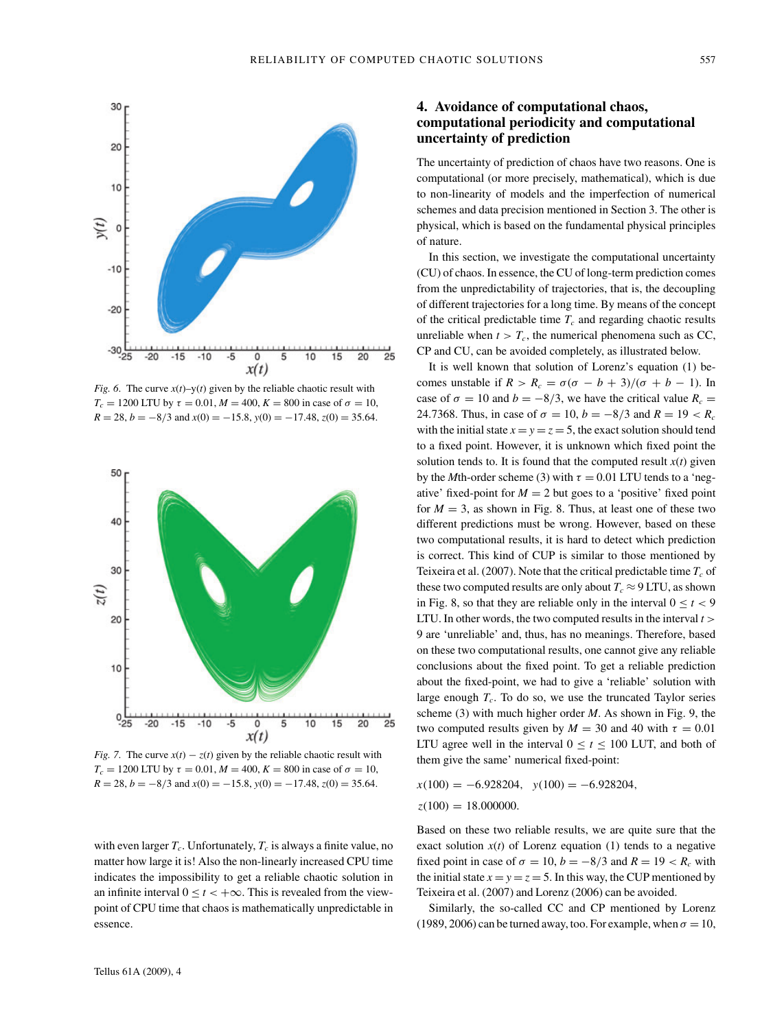

*Fig. 6.* The curve  $x(t)$ –y(*t*) given by the reliable chaotic result with *T<sub>c</sub>* = 1200 LTU by *τ* = 0.01, *M* = 400, *K* = 800 in case of *σ* = 10,  $R = 28$ ,  $b = -8/3$  and  $x(0) = -15.8$ ,  $y(0) = -17.48$ ,  $z(0) = 35.64$ .



*Fig.* 7. The curve  $x(t) - z(t)$  given by the reliable chaotic result with *T<sub>c</sub>* = 1200 LTU by *τ* = 0.01, *M* = 400, *K* = 800 in case of  $σ$  = 10,  $R = 28$ ,  $b = -8/3$  and  $x(0) = -15.8$ ,  $y(0) = -17.48$ ,  $z(0) = 35.64$ .

with even larger  $T_c$ . Unfortunately,  $T_c$  is always a finite value, no matter how large it is! Also the non-linearly increased CPU time indicates the impossibility to get a reliable chaotic solution in an infinite interval  $0 \le t < +\infty$ . This is revealed from the viewpoint of CPU time that chaos is mathematically unpredictable in essence.

# **4. Avoidance of computational chaos, computational periodicity and computational uncertainty of prediction**

The uncertainty of prediction of chaos have two reasons. One is computational (or more precisely, mathematical), which is due to non-linearity of models and the imperfection of numerical schemes and data precision mentioned in Section 3. The other is physical, which is based on the fundamental physical principles of nature.

In this section, we investigate the computational uncertainty (CU) of chaos. In essence, the CU of long-term prediction comes from the unpredictability of trajectories, that is, the decoupling of different trajectories for a long time. By means of the concept of the critical predictable time  $T_c$  and regarding chaotic results unreliable when  $t > T_c$ , the numerical phenomena such as CC, CP and CU, can be avoided completely, as illustrated below.

It is well known that solution of Lorenz's equation (1) becomes unstable if  $R > R_c = \sigma(\sigma - b + 3)/(\sigma + b - 1)$ . In case of  $\sigma = 10$  and  $b = -8/3$ , we have the critical value  $R_c =$ 24.7368. Thus, in case of  $\sigma = 10$ ,  $b = -8/3$  and  $R = 19 < R_c$ with the initial state  $x = y = z = 5$ , the exact solution should tend to a fixed point. However, it is unknown which fixed point the solution tends to. It is found that the computed result  $x(t)$  given by the *M*th-order scheme (3) with  $\tau = 0.01$  LTU tends to a 'negative' fixed-point for  $M = 2$  but goes to a 'positive' fixed point for  $M = 3$ , as shown in Fig. 8. Thus, at least one of these two different predictions must be wrong. However, based on these two computational results, it is hard to detect which prediction is correct. This kind of CUP is similar to those mentioned by Teixeira et al. (2007). Note that the critical predictable time  $T_c$  of these two computed results are only about  $T_c \approx 9$  LTU, as shown in Fig. 8, so that they are reliable only in the interval  $0 < t < 9$ LTU. In other words, the two computed results in the interval *t >* 9 are 'unreliable' and, thus, has no meanings. Therefore, based on these two computational results, one cannot give any reliable conclusions about the fixed point. To get a reliable prediction about the fixed-point, we had to give a 'reliable' solution with large enough  $T_c$ . To do so, we use the truncated Taylor series scheme (3) with much higher order *M*. As shown in Fig. 9, the two computed results given by  $M = 30$  and 40 with  $\tau = 0.01$ LTU agree well in the interval  $0 \le t \le 100$  LUT, and both of them give the same' numerical fixed-point:

*x*(100) = −6*.*928204*, y*(100) = −6*.*928204*, z*(100) = 18*.*000000*.*

Based on these two reliable results, we are quite sure that the exact solution  $x(t)$  of Lorenz equation (1) tends to a negative fixed point in case of  $\sigma = 10$ ,  $b = -8/3$  and  $R = 19 < R_c$  with the initial state  $x = y = z = 5$ . In this way, the CUP mentioned by Teixeira et al. (2007) and Lorenz (2006) can be avoided.

Similarly, the so-called CC and CP mentioned by Lorenz (1989, 2006) can be turned away, too. For example, when  $\sigma = 10$ ,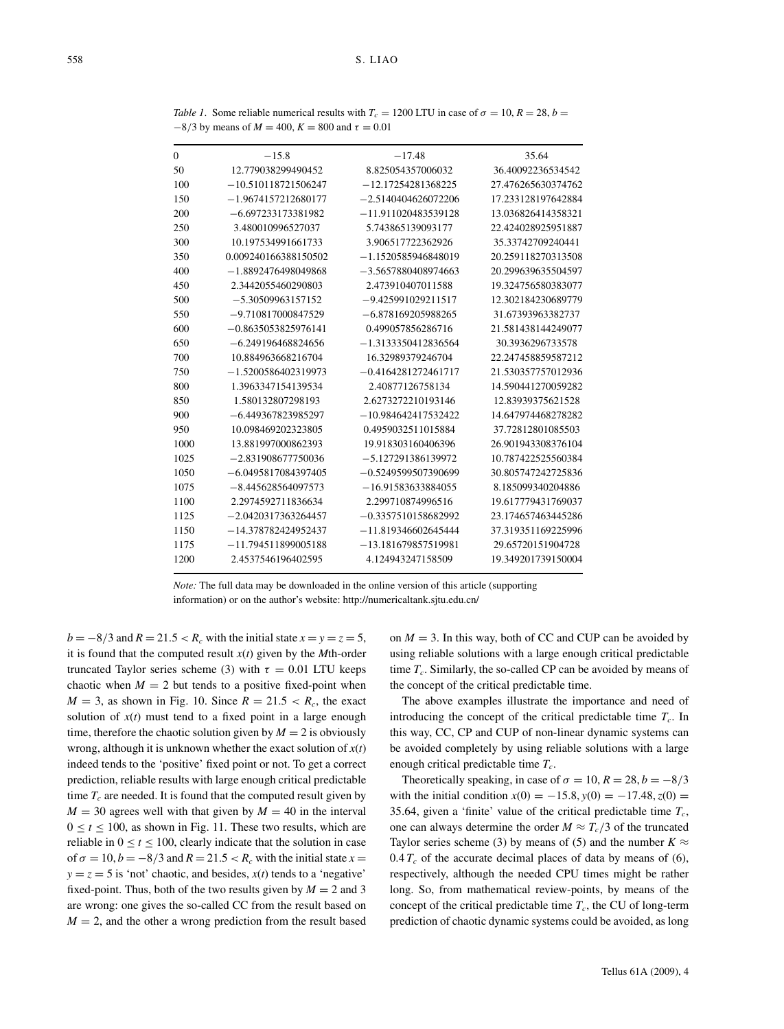| 0    | $-15.8$               | $-17.48$              | 35.64              |
|------|-----------------------|-----------------------|--------------------|
| 50   | 12.779038299490452    | 8.825054357006032     | 36.40092236534542  |
| 100  | $-10.510118721506247$ | $-12.17254281368225$  | 27.476265630374762 |
| 150  | $-1.9674157212680177$ | $-2.5140404626072206$ | 17.233128197642884 |
| 200  | $-6.697233173381982$  | $-11.911020483539128$ | 13.036826414358321 |
| 250  | 3.480010996527037     | 5.743865139093177     | 22.424028925951887 |
| 300  | 10.197534991661733    | 3.906517722362926     | 35.33742709240441  |
| 350  | 0.009240166388150502  | $-1.1520585946848019$ | 20.259118270313508 |
| 400  | $-1.8892476498049868$ | $-3.5657880408974663$ | 20.299639635504597 |
| 450  | 2.3442055460290803    | 2.473910407011588     | 19.324756580383077 |
| 500  | $-5.30509963157152$   | $-9.425991029211517$  | 12.302184230689779 |
| 550  | $-9.710817000847529$  | $-6.878169205988265$  | 31.67393963382737  |
| 600  | $-0.8635053825976141$ | 0.499057856286716     | 21.581438144249077 |
| 650  | $-6.249196468824656$  | $-1.3133350412836564$ | 30.3936296733578   |
| 700  | 10.884963668216704    | 16.32989379246704     | 22.247458859587212 |
| 750  | $-1.5200586402319973$ | $-0.4164281272461717$ | 21.530357757012936 |
| 800  | 1.3963347154139534    | 2.40877126758134      | 14.590441270059282 |
| 850  | 1.580132807298193     | 2.6273272210193146    | 12.83939375621528  |
| 900  | $-6.449367823985297$  | $-10.984642417532422$ | 14.647974468278282 |
| 950  | 10.098469202323805    | 0.4959032511015884    | 37.72812801085503  |
| 1000 | 13.881997000862393    | 19.918303160406396    | 26.901943308376104 |
| 1025 | $-2.831908677750036$  | $-5.127291386139972$  | 10.787422525560384 |
| 1050 | $-6.0495817084397405$ | $-0.5249599507390699$ | 30.805747242725836 |
| 1075 | $-8.445628564097573$  | $-16.91583633884055$  | 8.185099340204886  |
| 1100 | 2.2974592711836634    | 2.299710874996516     | 19.617779431769037 |
| 1125 | $-2.0420317363264457$ | $-0.3357510158682992$ | 23.174657463445286 |
| 1150 | $-14.378782424952437$ | $-11.819346602645444$ | 37.319351169225996 |
| 1175 | $-11.794511899005188$ | $-13.181679857519981$ | 29.65720151904728  |
| 1200 | 2.4537546196402595    | 4.124943247158509     | 19.349201739150004 |
|      |                       |                       |                    |

*Table 1*. Some reliable numerical results with  $T_c = 1200$  LTU in case of  $\sigma = 10$ ,  $R = 28$ ,  $b =$  $-8/3$  by means of  $M = 400$ ,  $K = 800$  and  $\tau = 0.01$ 

*Note:* The full data may be downloaded in the online version of this article (supporting information) or on the author's website: http://numericaltank.sjtu.edu.cn/

 $b = -8/3$  and  $R = 21.5 < R_c$  with the initial state  $x = y = z = 5$ , it is found that the computed result *x*(*t*) given by the *M*th-order truncated Taylor series scheme (3) with  $τ = 0.01$  LTU keeps chaotic when  $M = 2$  but tends to a positive fixed-point when  $M = 3$ , as shown in Fig. 10. Since  $R = 21.5 < R_c$ , the exact solution of  $x(t)$  must tend to a fixed point in a large enough time, therefore the chaotic solution given by  $M = 2$  is obviously wrong, although it is unknown whether the exact solution of *x*(*t*) indeed tends to the 'positive' fixed point or not. To get a correct prediction, reliable results with large enough critical predictable time  $T_c$  are needed. It is found that the computed result given by  $M = 30$  agrees well with that given by  $M = 40$  in the interval  $0 \le t \le 100$ , as shown in Fig. 11. These two results, which are reliable in  $0 \le t \le 100$ , clearly indicate that the solution in case of  $\sigma = 10, b = -8/3$  and  $R = 21.5 < R_c$  with the initial state  $x =$  $y = z = 5$  is 'not' chaotic, and besides,  $x(t)$  tends to a 'negative' fixed-point. Thus, both of the two results given by  $M = 2$  and 3 are wrong: one gives the so-called CC from the result based on  $M = 2$ , and the other a wrong prediction from the result based

on  $M = 3$ . In this way, both of CC and CUP can be avoided by using reliable solutions with a large enough critical predictable time  $T_c$ . Similarly, the so-called CP can be avoided by means of the concept of the critical predictable time.

The above examples illustrate the importance and need of introducing the concept of the critical predictable time  $T_c$ . In this way, CC, CP and CUP of non-linear dynamic systems can be avoided completely by using reliable solutions with a large enough critical predictable time  $T_c$ .

Theoretically speaking, in case of  $\sigma = 10$ ,  $R = 28$ ,  $b = -8/3$ with the initial condition  $x(0) = -15.8$ ,  $y(0) = -17.48$ ,  $z(0) =$ 35.64, given a 'finite' value of the critical predictable time  $T_c$ , one can always determine the order  $M \approx T_c/3$  of the truncated Taylor series scheme (3) by means of (5) and the number  $K \approx$  $0.4 T_c$  of the accurate decimal places of data by means of (6), respectively, although the needed CPU times might be rather long. So, from mathematical review-points, by means of the concept of the critical predictable time  $T_c$ , the CU of long-term prediction of chaotic dynamic systems could be avoided, as long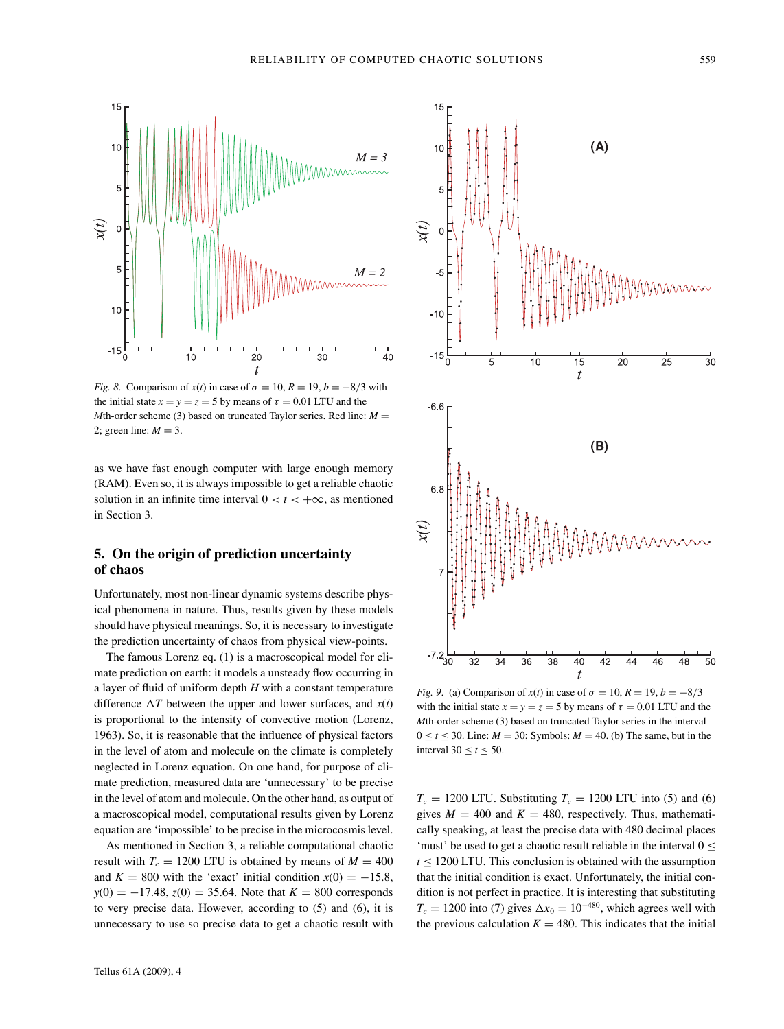

*Fig. 8.* Comparison of  $x(t)$  in case of  $\sigma = 10$ ,  $R = 19$ ,  $b = -8/3$  with the initial state  $x = y = z = 5$  by means of  $\tau = 0.01$  LTU and the *M*th-order scheme (3) based on truncated Taylor series. Red line:  $M =$ 2; green line:  $M = 3$ .

as we have fast enough computer with large enough memory (RAM). Even so, it is always impossible to get a reliable chaotic solution in an infinite time interval  $0 < t < +\infty$ , as mentioned in Section 3.

# **5. On the origin of prediction uncertainty of chaos**

Unfortunately, most non-linear dynamic systems describe physical phenomena in nature. Thus, results given by these models should have physical meanings. So, it is necessary to investigate the prediction uncertainty of chaos from physical view-points.

The famous Lorenz eq. (1) is a macroscopical model for climate prediction on earth: it models a unsteady flow occurring in a layer of fluid of uniform depth *H* with a constant temperature difference  $\Delta T$  between the upper and lower surfaces, and  $x(t)$ is proportional to the intensity of convective motion (Lorenz, 1963). So, it is reasonable that the influence of physical factors in the level of atom and molecule on the climate is completely neglected in Lorenz equation. On one hand, for purpose of climate prediction, measured data are 'unnecessary' to be precise in the level of atom and molecule. On the other hand, as output of a macroscopical model, computational results given by Lorenz equation are 'impossible' to be precise in the microcosmis level.

As mentioned in Section 3, a reliable computational chaotic result with  $T_c = 1200$  LTU is obtained by means of  $M = 400$ and  $K = 800$  with the 'exact' initial condition  $x(0) = -15.8$ ,  $y(0) = -17.48$ ,  $z(0) = 35.64$ . Note that  $K = 800$  corresponds to very precise data. However, according to (5) and (6), it is unnecessary to use so precise data to get a chaotic result with



*Fig.* 9. (a) Comparison of  $x(t)$  in case of  $\sigma = 10$ ,  $R = 19$ ,  $b = -8/3$ with the initial state  $x = y = z = 5$  by means of  $\tau = 0.01$  LTU and the *M*th-order scheme (3) based on truncated Taylor series in the interval  $0 \le t \le 30$ . Line:  $M = 30$ ; Symbols:  $M = 40$ . (b) The same, but in the interval  $30 \le t \le 50$ .

 $T_c = 1200$  LTU. Substituting  $T_c = 1200$  LTU into (5) and (6) gives  $M = 400$  and  $K = 480$ , respectively. Thus, mathematically speaking, at least the precise data with 480 decimal places 'must' be used to get a chaotic result reliable in the interval 0 ≤  $t \leq 1200$  LTU. This conclusion is obtained with the assumption that the initial condition is exact. Unfortunately, the initial condition is not perfect in practice. It is interesting that substituting  $T_c = 1200$  into (7) gives  $\Delta x_0 = 10^{-480}$ , which agrees well with the previous calculation  $K = 480$ . This indicates that the initial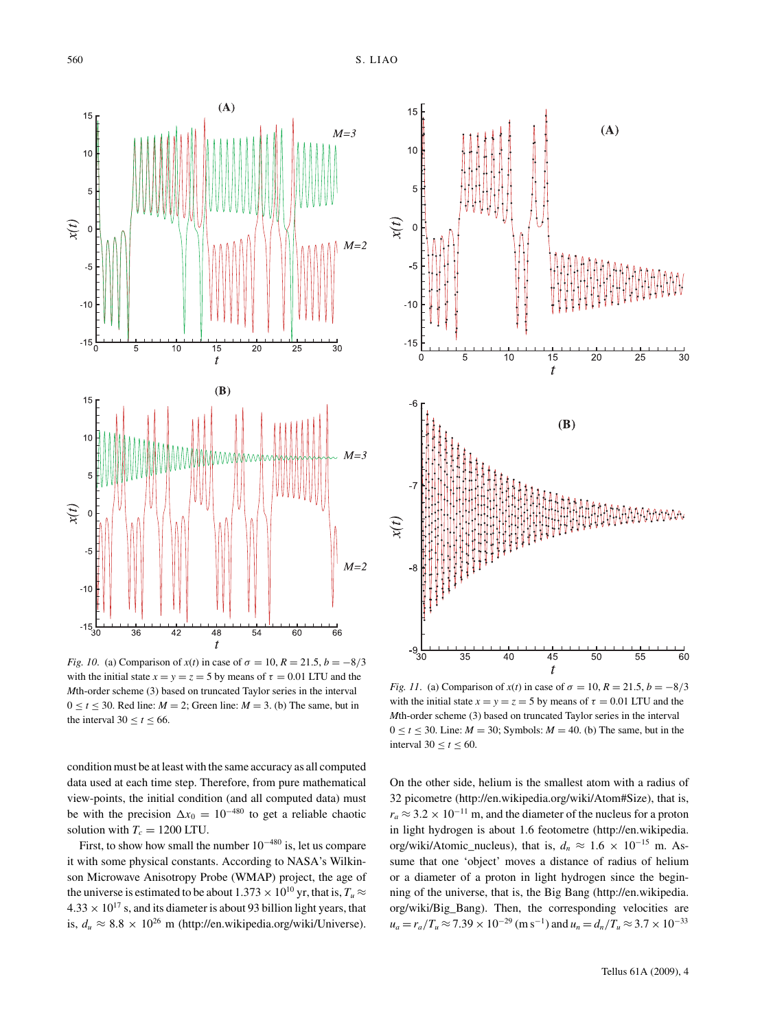

*Fig. 10.* (a) Comparison of  $x(t)$  in case of  $\sigma = 10$ ,  $R = 21.5$ ,  $b = -8/3$ with the initial state  $x = y = z = 5$  by means of  $\tau = 0.01$  LTU and the *M*th-order scheme (3) based on truncated Taylor series in the interval  $0 \le t \le 30$ . Red line:  $M = 2$ ; Green line:  $M = 3$ . (b) The same, but in the interval 30  $\leq t \leq 66$ .

condition must be at least with the same accuracy as all computed data used at each time step. Therefore, from pure mathematical view-points, the initial condition (and all computed data) must be with the precision  $\Delta x_0 = 10^{-480}$  to get a reliable chaotic solution with  $T_c = 1200$  LTU.

First, to show how small the number  $10^{-480}$  is, let us compare it with some physical constants. According to NASA's Wilkinson Microwave Anisotropy Probe (WMAP) project, the age of the universe is estimated to be about 1.373  $\times$  10<sup>10</sup> yr, that is,  $T_u \approx$  $4.33 \times 10^{17}$  s, and its diameter is about 93 billion light years, that is,  $d_u \approx 8.8 \times 10^{26}$  m (http://en.wikipedia.org/wiki/Universe).



*Fig. 11.* (a) Comparison of  $x(t)$  in case of  $\sigma = 10$ ,  $R = 21.5$ ,  $b = -8/3$ with the initial state  $x = y = z = 5$  by means of  $\tau = 0.01$  LTU and the *M*th-order scheme (3) based on truncated Taylor series in the interval  $0 \le t \le 30$ . Line:  $M = 30$ ; Symbols:  $M = 40$ . (b) The same, but in the interval  $30 \le t \le 60$ .

On the other side, helium is the smallest atom with a radius of 32 picometre (http://en.wikipedia.org/wiki/Atom#Size), that is,  $r_a \approx 3.2 \times 10^{-11}$  m, and the diameter of the nucleus for a proton in light hydrogen is about 1.6 feotometre (http://en.wikipedia. org/wiki/Atomic\_nucleus), that is,  $d_n \approx 1.6 \times 10^{-15}$  m. Assume that one 'object' moves a distance of radius of helium or a diameter of a proton in light hydrogen since the beginning of the universe, that is, the Big Bang (http://en.wikipedia. org/wiki/Big\_Bang). Then, the corresponding velocities are  $u_a = r_a/T_u \approx 7.39 \times 10^{-29}$  (m s<sup>-1</sup>) and  $u_n = d_n/T_u \approx 3.7 \times 10^{-33}$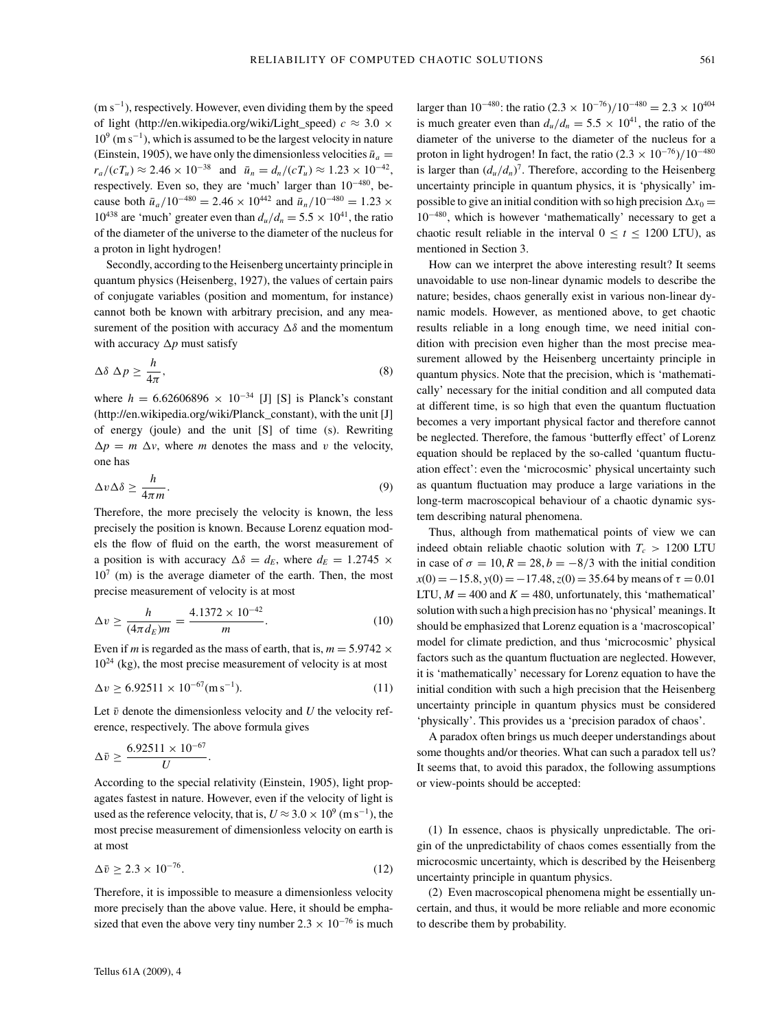$(m s<sup>-1</sup>)$ , respectively. However, even dividing them by the speed of light (http://en.wikipedia.org/wiki/Light speed)  $c \approx 3.0 \times$  $10^9$  (m s<sup>-1</sup>), which is assumed to be the largest velocity in nature (Einstein, 1905), we have only the dimensionless velocities  $\bar{u}_a =$  $r_a/(cT_u) \approx 2.46 \times 10^{-38}$  and  $\bar{u}_n = d_n/(cT_u) \approx 1.23 \times 10^{-42}$ , respectively. Even so, they are 'much' larger than 10−480, because both  $\bar{u}_a/10^{-480} = 2.46 \times 10^{442}$  and  $\bar{u}_a/10^{-480} = 1.23 \times$  $10^{438}$  are 'much' greater even than  $d_u/d_n = 5.5 \times 10^{41}$ , the ratio of the diameter of the universe to the diameter of the nucleus for a proton in light hydrogen!

Secondly, according to the Heisenberg uncertainty principle in quantum physics (Heisenberg, 1927), the values of certain pairs of conjugate variables (position and momentum, for instance) cannot both be known with arbitrary precision, and any measurement of the position with accuracy  $\Delta \delta$  and the momentum with accuracy  $\Delta p$  must satisfy

$$
\Delta \delta \Delta p \ge \frac{h}{4\pi},\tag{8}
$$

where  $h = 6.62606896 \times 10^{-34}$  [J] [S] is Planck's constant (http://en.wikipedia.org/wiki/Planck\_constant), with the unit [J] of energy (joule) and the unit [S] of time (s). Rewriting  $\Delta p = m \Delta v$ , where *m* denotes the mass and *v* the velocity, one has

$$
\Delta v \Delta \delta \ge \frac{h}{4\pi m}.\tag{9}
$$

Therefore, the more precisely the velocity is known, the less precisely the position is known. Because Lorenz equation models the flow of fluid on the earth, the worst measurement of a position is with accuracy  $\Delta \delta = d_E$ , where  $d_E = 1.2745 \times$  $10<sup>7</sup>$  (m) is the average diameter of the earth. Then, the most precise measurement of velocity is at most

$$
\Delta v \ge \frac{h}{(4\pi d_E)m} = \frac{4.1372 \times 10^{-42}}{m}.\tag{10}
$$

Even if *m* is regarded as the mass of earth, that is,  $m = 5.9742 \times$  $10^{24}$  (kg), the most precise measurement of velocity is at most

$$
\Delta v \ge 6.92511 \times 10^{-67} \text{(m s}^{-1}).\tag{11}
$$

Let  $\bar{v}$  denote the dimensionless velocity and  $U$  the velocity reference, respectively. The above formula gives

$$
\Delta \bar{v} \geq \frac{6.92511 \times 10^{-67}}{U}.
$$

According to the special relativity (Einstein, 1905), light propagates fastest in nature. However, even if the velocity of light is used as the reference velocity, that is,  $U \approx 3.0 \times 10^9$  (m s<sup>-1</sup>), the most precise measurement of dimensionless velocity on earth is at most

$$
\Delta \bar{v} \ge 2.3 \times 10^{-76}.\tag{12}
$$

Therefore, it is impossible to measure a dimensionless velocity more precisely than the above value. Here, it should be emphasized that even the above very tiny number  $2.3 \times 10^{-76}$  is much larger than  $10^{-480}$ : the ratio  $(2.3 \times 10^{-76})/10^{-480} = 2.3 \times 10^{404}$ is much greater even than  $d_u/d_n = 5.5 \times 10^{41}$ , the ratio of the diameter of the universe to the diameter of the nucleus for a proton in light hydrogen! In fact, the ratio  $(2.3 \times 10^{-76})/10^{-480}$ is larger than  $(d_u/d_n)^7$ . Therefore, according to the Heisenberg uncertainty principle in quantum physics, it is 'physically' impossible to give an initial condition with so high precision  $\Delta x_0 =$ 10−480, which is however 'mathematically' necessary to get a chaotic result reliable in the interval  $0 \le t \le 1200$  LTU), as mentioned in Section 3.

How can we interpret the above interesting result? It seems unavoidable to use non-linear dynamic models to describe the nature; besides, chaos generally exist in various non-linear dynamic models. However, as mentioned above, to get chaotic results reliable in a long enough time, we need initial condition with precision even higher than the most precise measurement allowed by the Heisenberg uncertainty principle in quantum physics. Note that the precision, which is 'mathematically' necessary for the initial condition and all computed data at different time, is so high that even the quantum fluctuation becomes a very important physical factor and therefore cannot be neglected. Therefore, the famous 'butterfly effect' of Lorenz equation should be replaced by the so-called 'quantum fluctuation effect': even the 'microcosmic' physical uncertainty such as quantum fluctuation may produce a large variations in the long-term macroscopical behaviour of a chaotic dynamic system describing natural phenomena.

Thus, although from mathematical points of view we can indeed obtain reliable chaotic solution with  $T_c > 1200$  LTU in case of  $\sigma = 10, R = 28, b = -8/3$  with the initial condition  $x(0) = -15.8$ ,  $y(0) = -17.48$ ,  $z(0) = 35.64$  by means of  $\tau = 0.01$ LTU,  $M = 400$  and  $K = 480$ , unfortunately, this 'mathematical' solution with such a high precision has no 'physical' meanings. It should be emphasized that Lorenz equation is a 'macroscopical' model for climate prediction, and thus 'microcosmic' physical factors such as the quantum fluctuation are neglected. However, it is 'mathematically' necessary for Lorenz equation to have the initial condition with such a high precision that the Heisenberg uncertainty principle in quantum physics must be considered 'physically'. This provides us a 'precision paradox of chaos'.

A paradox often brings us much deeper understandings about some thoughts and/or theories. What can such a paradox tell us? It seems that, to avoid this paradox, the following assumptions or view-points should be accepted:

(1) In essence, chaos is physically unpredictable. The origin of the unpredictability of chaos comes essentially from the microcosmic uncertainty, which is described by the Heisenberg uncertainty principle in quantum physics.

(2) Even macroscopical phenomena might be essentially uncertain, and thus, it would be more reliable and more economic to describe them by probability.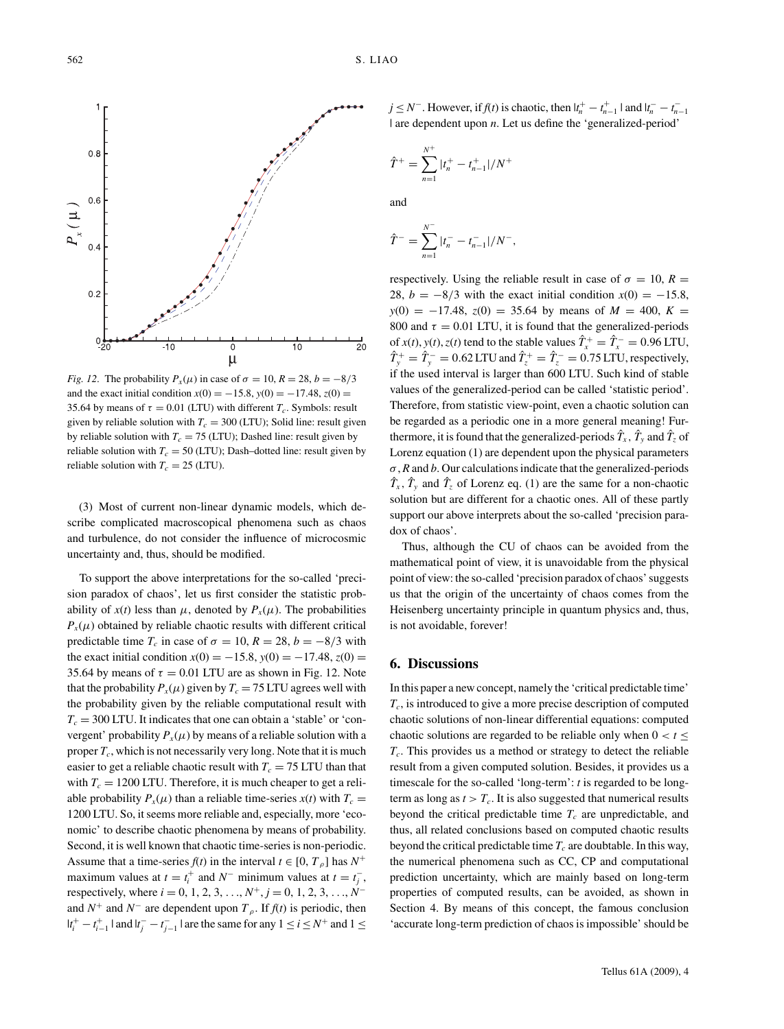

*Fig. 12.* The probability  $P_x(\mu)$  in case of  $\sigma = 10$ ,  $R = 28$ ,  $b = -8/3$ and the exact initial condition  $x(0) = -15.8$ ,  $y(0) = -17.48$ ,  $z(0) =$ 35.64 by means of  $\tau = 0.01$  (LTU) with different  $T_c$ . Symbols: result given by reliable solution with  $T_c = 300$  (LTU); Solid line: result given by reliable solution with  $T_c = 75$  (LTU); Dashed line: result given by reliable solution with  $T_c = 50$  (LTU); Dash-dotted line: result given by reliable solution with  $T_c = 25$  (LTU).

(3) Most of current non-linear dynamic models, which describe complicated macroscopical phenomena such as chaos and turbulence, do not consider the influence of microcosmic uncertainty and, thus, should be modified.

To support the above interpretations for the so-called 'precision paradox of chaos', let us first consider the statistic probability of  $x(t)$  less than  $\mu$ , denoted by  $P_x(\mu)$ . The probabilities  $P_x(\mu)$  obtained by reliable chaotic results with different critical predictable time *T<sub>c</sub>* in case of  $\sigma = 10$ ,  $R = 28$ ,  $b = -8/3$  with the exact initial condition  $x(0) = -15.8$ ,  $y(0) = -17.48$ ,  $z(0) =$ 35.64 by means of  $\tau = 0.01$  LTU are as shown in Fig. 12. Note that the probability  $P_x(\mu)$  given by  $T_c = 75$  LTU agrees well with the probability given by the reliable computational result with  $T_c = 300$  LTU. It indicates that one can obtain a 'stable' or 'convergent' probability  $P_x(\mu)$  by means of a reliable solution with a proper  $T_c$ , which is not necessarily very long. Note that it is much easier to get a reliable chaotic result with  $T_c = 75$  LTU than that with  $T_c = 1200$  LTU. Therefore, it is much cheaper to get a reliable probability  $P_x(\mu)$  than a reliable time-series  $x(t)$  with  $T_c =$ 1200 LTU. So, it seems more reliable and, especially, more 'economic' to describe chaotic phenomena by means of probability. Second, it is well known that chaotic time-series is non-periodic. Assume that a time-series  $f(t)$  in the interval  $t \in [0, T_\rho]$  has  $N^+$ maximum values at  $t = t_i^+$  and  $N^-$  minimum values at  $t = t_j^-$ , respectively, where  $i = 0, 1, 2, 3, \ldots, N^+, j = 0, 1, 2, 3, \ldots, N^$ and  $N^+$  and  $N^-$  are dependent upon  $T_\rho$ . If  $f(t)$  is periodic, then  $|t_i^+ - t_{i-1}^+|$  and  $|t_j^- - t_{j-1}^-|$  are the same for any  $1 \le i \le N^+$  and  $1 \le j$ 

*j* ≤ *N*<sup>−</sup>. However, if *f*(*t*) is chaotic, then  $|t_n^+ - t_{n-1}^+|$  and  $|t_n^- - t_{n-1}^-|$ | are dependent upon *n*. Let us define the 'generalized-period'

$$
\hat{T}^{+} = \sum_{n=1}^{N^{+}} |t_{n}^{+} - t_{n-1}^{+}|/N^{+}
$$

and

$$
\hat{T}^{-} = \sum_{n=1}^{N^{-}} |t_{n}^{-} - t_{n-1}^{-}|/N^{-},
$$

respectively. Using the reliable result in case of  $\sigma = 10$ ,  $R =$ 28,  $b = -8/3$  with the exact initial condition  $x(0) = -15.8$ ,  $y(0) = -17.48$ ,  $z(0) = 35.64$  by means of  $M = 400$ ,  $K =$ 800 and  $\tau = 0.01$  LTU, it is found that the generalized-periods of  $x(t)$ ,  $y(t)$ ,  $z(t)$  tend to the stable values  $\hat{T}_x^+ = \hat{T}_x^- = 0.96 \text{ LTU}$ ,  $\hat{T}_y^+ = \hat{T}_y^- = 0.62$  LTU and  $\hat{T}_z^+ = \hat{T}_z^- = 0.75$  LTU, respectively, if the used interval is larger than 600 LTU. Such kind of stable values of the generalized-period can be called 'statistic period'. Therefore, from statistic view-point, even a chaotic solution can be regarded as a periodic one in a more general meaning! Furthermore, it is found that the generalized-periods  $\hat{T}_x$ ,  $\hat{T}_y$  and  $\hat{T}_z$  of Lorenz equation (1) are dependent upon the physical parameters *σ*, *R* and *b*. Our calculations indicate that the generalized-periods  $\hat{T}_x$ ,  $\hat{T}_y$  and  $\hat{T}_z$  of Lorenz eq. (1) are the same for a non-chaotic solution but are different for a chaotic ones. All of these partly support our above interprets about the so-called 'precision paradox of chaos'.

Thus, although the CU of chaos can be avoided from the mathematical point of view, it is unavoidable from the physical point of view: the so-called 'precision paradox of chaos' suggests us that the origin of the uncertainty of chaos comes from the Heisenberg uncertainty principle in quantum physics and, thus, is not avoidable, forever!

#### **6. Discussions**

In this paper a new concept, namely the 'critical predictable time' *Tc*, is introduced to give a more precise description of computed chaotic solutions of non-linear differential equations: computed chaotic solutions are regarded to be reliable only when  $0 < t \le$ *Tc*. This provides us a method or strategy to detect the reliable result from a given computed solution. Besides, it provides us a timescale for the so-called 'long-term': *t* is regarded to be longterm as long as  $t > T_c$ . It is also suggested that numerical results beyond the critical predictable time  $T_c$  are unpredictable, and thus, all related conclusions based on computed chaotic results beyond the critical predictable time  $T_c$  are doubtable. In this way, the numerical phenomena such as CC, CP and computational prediction uncertainty, which are mainly based on long-term properties of computed results, can be avoided, as shown in Section 4. By means of this concept, the famous conclusion 'accurate long-term prediction of chaos is impossible' should be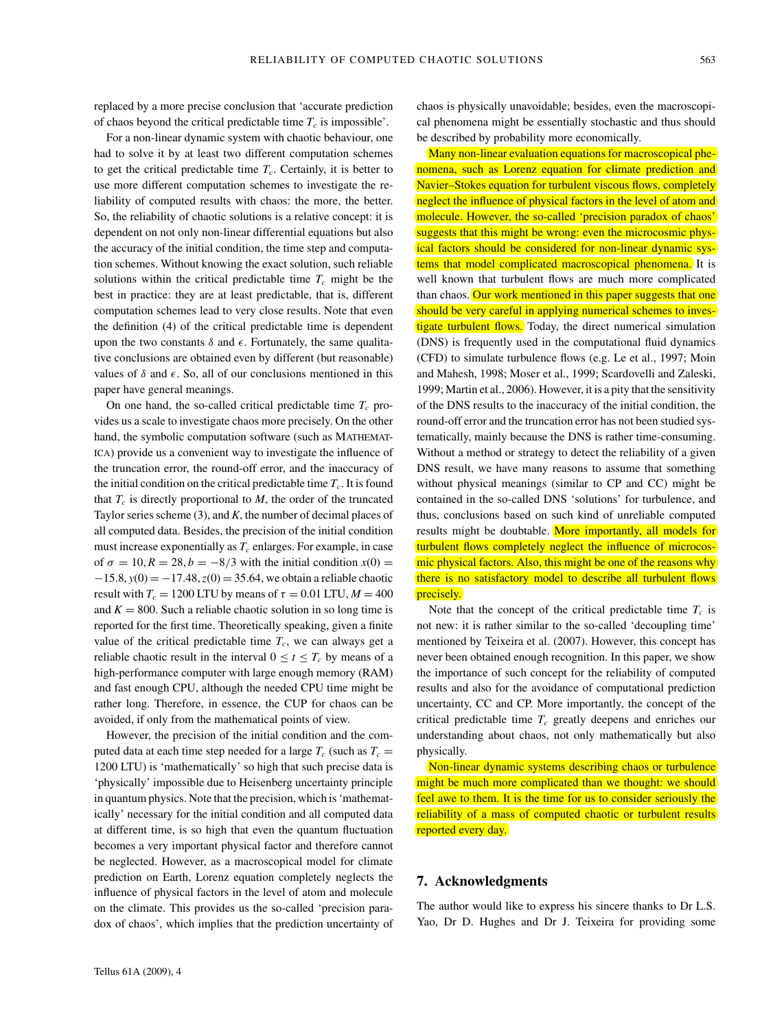replaced by a more precise conclusion that 'accurate prediction of chaos beyond the critical predictable time  $T_c$  is impossible'.

For a non-linear dynamic system with chaotic behaviour, one had to solve it by at least two different computation schemes to get the critical predictable time  $T_c$ . Certainly, it is better to use more different computation schemes to investigate the reliability of computed results with chaos: the more, the better. So, the reliability of chaotic solutions is a relative concept: it is dependent on not only non-linear differential equations but also the accuracy of the initial condition, the time step and computation schemes. Without knowing the exact solution, such reliable solutions within the critical predictable time  $T_c$  might be the best in practice: they are at least predictable, that is, different computation schemes lead to very close results. Note that even the definition (4) of the critical predictable time is dependent upon the two constants  $\delta$  and  $\epsilon$ . Fortunately, the same qualitative conclusions are obtained even by different (but reasonable) values of  $\delta$  and  $\epsilon$ . So, all of our conclusions mentioned in this paper have general meanings.

On one hand, the so-called critical predictable time  $T_c$  provides us a scale to investigate chaos more precisely. On the other hand, the symbolic computation software (such as MATHEMAT-ICA) provide us a convenient way to investigate the influence of the truncation error, the round-off error, and the inaccuracy of the initial condition on the critical predictable time  $T_c$ . It is found that  $T_c$  is directly proportional to  $M$ , the order of the truncated Taylor series scheme (3), and *K*, the number of decimal places of all computed data. Besides, the precision of the initial condition must increase exponentially as  $T_c$  enlarges. For example, in case of  $\sigma = 10, R = 28, b = -8/3$  with the initial condition  $x(0) =$ −15.8, *y*(0) = −17.48,*z*(0) = 35.64, we obtain a reliable chaotic result with  $T_c = 1200$  LTU by means of  $\tau = 0.01$  LTU,  $M = 400$ and  $K = 800$ . Such a reliable chaotic solution in so long time is reported for the first time. Theoretically speaking, given a finite value of the critical predictable time  $T_c$ , we can always get a reliable chaotic result in the interval  $0 \le t \le T_c$  by means of a high-performance computer with large enough memory (RAM) and fast enough CPU, although the needed CPU time might be rather long. Therefore, in essence, the CUP for chaos can be avoided, if only from the mathematical points of view.

However, the precision of the initial condition and the computed data at each time step needed for a large  $T_c$  (such as  $T_c =$ 1200 LTU) is 'mathematically' so high that such precise data is 'physically' impossible due to Heisenberg uncertainty principle in quantum physics. Note that the precision, which is 'mathematically' necessary for the initial condition and all computed data at different time, is so high that even the quantum fluctuation becomes a very important physical factor and therefore cannot be neglected. However, as a macroscopical model for climate prediction on Earth, Lorenz equation completely neglects the influence of physical factors in the level of atom and molecule on the climate. This provides us the so-called 'precision paradox of chaos', which implies that the prediction uncertainty of chaos is physically unavoidable; besides, even the macroscopical phenomena might be essentially stochastic and thus should be described by probability more economically.

Many non-linear evaluation equations for macroscopical phenomena, such as Lorenz equation for climate prediction and Navier–Stokes equation for turbulent viscous flows, completely neglect the influence of physical factors in the level of atom and molecule. However, the so-called 'precision paradox of chaos' suggests that this might be wrong: even the microcosmic physical factors should be considered for non-linear dynamic systems that model complicated macroscopical phenomena. It is well known that turbulent flows are much more complicated than chaos. Our work mentioned in this paper suggests that one should be very careful in applying numerical schemes to investigate turbulent flows. Today, the direct numerical simulation (DNS) is frequently used in the computational fluid dynamics (CFD) to simulate turbulence flows (e.g. Le et al., 1997; Moin and Mahesh, 1998; Moser et al., 1999; Scardovelli and Zaleski, 1999; Martin et al., 2006). However, it is a pity that the sensitivity of the DNS results to the inaccuracy of the initial condition, the round-off error and the truncation error has not been studied systematically, mainly because the DNS is rather time-consuming. Without a method or strategy to detect the reliability of a given DNS result, we have many reasons to assume that something without physical meanings (similar to CP and CC) might be contained in the so-called DNS 'solutions' for turbulence, and thus, conclusions based on such kind of unreliable computed results might be doubtable. More importantly, all models for turbulent flows completely neglect the influence of microcosmic physical factors. Also, this might be one of the reasons why there is no satisfactory model to describe all turbulent flows precisely.

Note that the concept of the critical predictable time  $T_c$  is not new: it is rather similar to the so-called 'decoupling time' mentioned by Teixeira et al. (2007). However, this concept has never been obtained enough recognition. In this paper, we show the importance of such concept for the reliability of computed results and also for the avoidance of computational prediction uncertainty, CC and CP. More importantly, the concept of the critical predictable time  $T_c$  greatly deepens and enriches our understanding about chaos, not only mathematically but also physically.

Non-linear dynamic systems describing chaos or turbulence might be much more complicated than we thought: we should feel awe to them. It is the time for us to consider seriously the reliability of a mass of computed chaotic or turbulent results reported every day.

### **7. Acknowledgments**

The author would like to express his sincere thanks to Dr L.S. Yao, Dr D. Hughes and Dr J. Teixeira for providing some